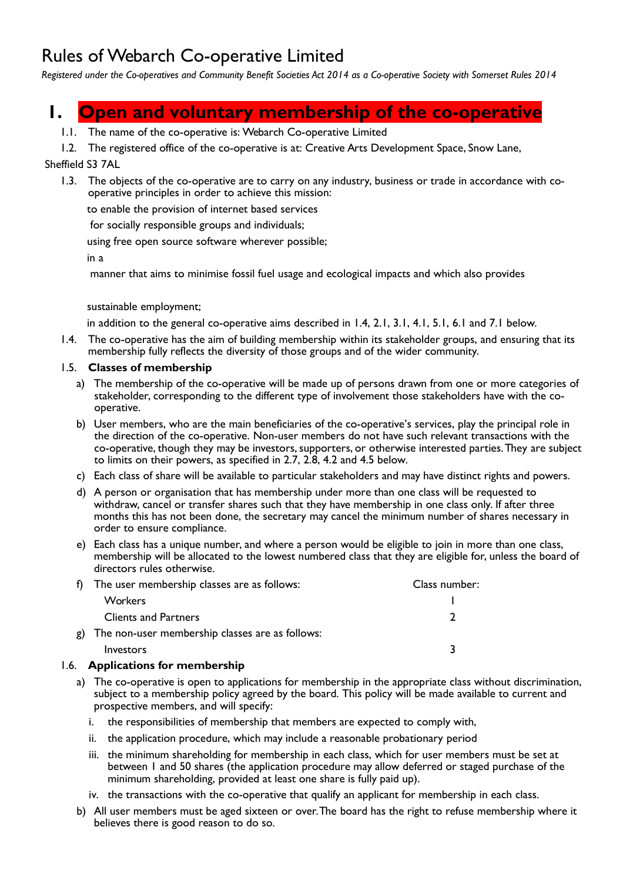## Rules of Webarch Co-operative Limited

*Registered under the Co-operatives and Community Benefit Societies Act 2014 as a Co-operative Society with Somerset Rules 2014*

## **1. Open and voluntary membership of the co-operative**

- 1.1. The name of the co-operative is: Webarch Co-operative Limited
- 1.2. The registered office of the co-operative is at: Creative Arts Development Space, Snow Lane,

## Sheffield S3 7AL

 1.3. The objects of the co-operative are to carry on any industry, business or trade in accordance with cooperative principles in order to achieve this mission:

to enable the provision of internet based services

for socially responsible groups and individuals;

using free open source software wherever possible;

in a

manner that aims to minimise fossil fuel usage and ecological impacts and which also provides

#### sustainable employment;

in addition to the general co-operative aims described in 1.4, 2.1, 3.1, 4.1, 5.1, 6.1 and 7.1 below.

 1.4. The co-operative has the aim of building membership within its stakeholder groups, and ensuring that its membership fully reflects the diversity of those groups and of the wider community.

#### 1.5. **Classes of membership**

- a) The membership of the co-operative will be made up of persons drawn from one or more categories of stakeholder, corresponding to the different type of involvement those stakeholders have with the cooperative.
- b) User members, who are the main beneficiaries of the co-operative's services, play the principal role in the direction of the co-operative. Non-user members do not have such relevant transactions with the co-operative, though they may be investors, supporters, or otherwise interested parties. They are subject to limits on their powers, as specified in 2.7, 2.8, 4.2 and 4.5 below.
- c) Each class of share will be available to particular stakeholders and may have distinct rights and powers.
- d) A person or organisation that has membership under more than one class will be requested to withdraw, cancel or transfer shares such that they have membership in one class only. If after three months this has not been done, the secretary may cancel the minimum number of shares necessary in order to ensure compliance.
- e) Each class has a unique number, and where a person would be eligible to join in more than one class, membership will be allocated to the lowest numbered class that they are eligible for, unless the board of directors rules otherwise.

| f) The user membership classes are as follows:     | Class number: |
|----------------------------------------------------|---------------|
| <b>Workers</b>                                     |               |
| <b>Clients and Partners</b>                        |               |
| g) The non-user membership classes are as follows: |               |
| Investors                                          |               |

## 1.6. **Applications for membership**

- a) The co-operative is open to applications for membership in the appropriate class without discrimination, subject to a membership policy agreed by the board. This policy will be made available to current and prospective members, and will specify:
	- i. the responsibilities of membership that members are expected to comply with,
	- ii. the application procedure, which may include a reasonable probationary period
	- iii. the minimum shareholding for membership in each class, which for user members must be set at between 1 and 50 shares (the application procedure may allow deferred or staged purchase of the minimum shareholding, provided at least one share is fully paid up).
	- iv. the transactions with the co-operative that qualify an applicant for membership in each class.
- b) All user members must be aged sixteen or over. The board has the right to refuse membership where it believes there is good reason to do so.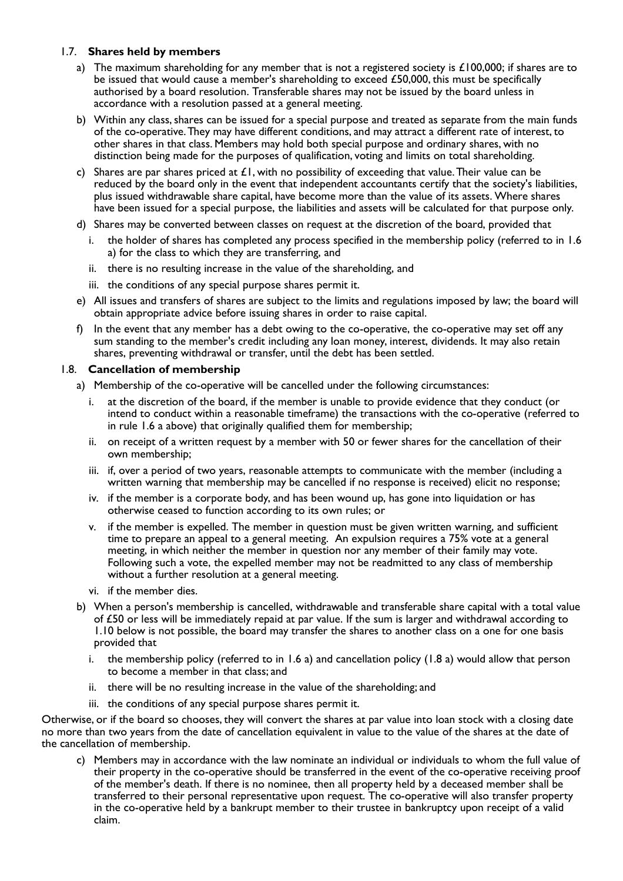#### 1.7. **Shares held by members**

- a) The maximum shareholding for any member that is not a registered society is  $\pounds100,000$ ; if shares are to be issued that would cause a member's shareholding to exceed £50,000, this must be specifically authorised by a board resolution. Transferable shares may not be issued by the board unless in accordance with a resolution passed at a general meeting.
- b) Within any class, shares can be issued for a special purpose and treated as separate from the main funds of the co-operative. They may have different conditions, and may attract a different rate of interest, to other shares in that class. Members may hold both special purpose and ordinary shares, with no distinction being made for the purposes of qualification, voting and limits on total shareholding.
- c) Shares are par shares priced at  $\pounds 1$ , with no possibility of exceeding that value. Their value can be reduced by the board only in the event that independent accountants certify that the society's liabilities, plus issued withdrawable share capital, have become more than the value of its assets. Where shares have been issued for a special purpose, the liabilities and assets will be calculated for that purpose only.
- d) Shares may be converted between classes on request at the discretion of the board, provided that
	- i. the holder of shares has completed any process specified in the membership policy (referred to in 1.6 a) for the class to which they are transferring, and
	- ii. there is no resulting increase in the value of the shareholding, and
	- iii. the conditions of any special purpose shares permit it.
- e) All issues and transfers of shares are subject to the limits and regulations imposed by law; the board will obtain appropriate advice before issuing shares in order to raise capital.
- f) In the event that any member has a debt owing to the co-operative, the co-operative may set off any sum standing to the member's credit including any loan money, interest, dividends. It may also retain shares, preventing withdrawal or transfer, until the debt has been settled.

#### 1.8. **Cancellation of membership**

- a) Membership of the co-operative will be cancelled under the following circumstances:
	- i. at the discretion of the board, if the member is unable to provide evidence that they conduct (or intend to conduct within a reasonable timeframe) the transactions with the co-operative (referred to in rule 1.6 a above) that originally qualified them for membership;
	- ii. on receipt of a written request by a member with 50 or fewer shares for the cancellation of their own membership;
	- iii. if, over a period of two years, reasonable attempts to communicate with the member (including a written warning that membership may be cancelled if no response is received) elicit no response;
	- iv. if the member is a corporate body, and has been wound up, has gone into liquidation or has otherwise ceased to function according to its own rules; or
	- v. if the member is expelled. The member in question must be given written warning, and sufficient time to prepare an appeal to a general meeting. An expulsion requires a 75% vote at a general meeting, in which neither the member in question nor any member of their family may vote. Following such a vote, the expelled member may not be readmitted to any class of membership without a further resolution at a general meeting.
	- vi. if the member dies.
- b) When a person's membership is cancelled, withdrawable and transferable share capital with a total value of £50 or less will be immediately repaid at par value. If the sum is larger and withdrawal according to 1.10 below is not possible, the board may transfer the shares to another class on a one for one basis provided that
	- i. the membership policy (referred to in  $1.6$  a) and cancellation policy (1.8 a) would allow that person to become a member in that class; and
	- ii. there will be no resulting increase in the value of the shareholding; and
	- iii. the conditions of any special purpose shares permit it.

Otherwise, or if the board so chooses, they will convert the shares at par value into loan stock with a closing date no more than two years from the date of cancellation equivalent in value to the value of the shares at the date of the cancellation of membership.

 c) Members may in accordance with the law nominate an individual or individuals to whom the full value of their property in the co-operative should be transferred in the event of the co-operative receiving proof of the member's death. If there is no nominee, then all property held by a deceased member shall be transferred to their personal representative upon request. The co-operative will also transfer property in the co-operative held by a bankrupt member to their trustee in bankruptcy upon receipt of a valid claim.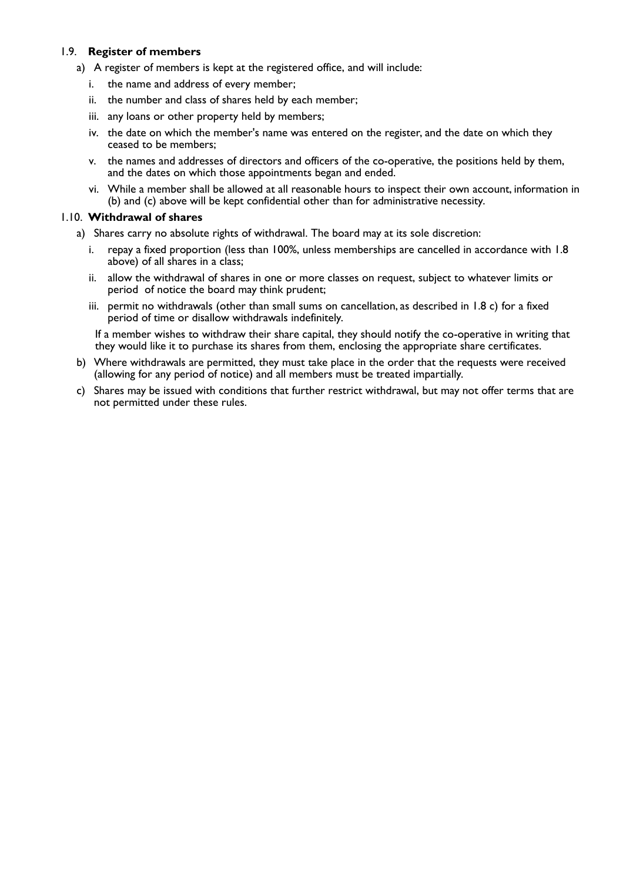### 1.9. **Register of members**

- a) A register of members is kept at the registered office, and will include:
	- i. the name and address of every member;
	- ii. the number and class of shares held by each member;
	- iii. any loans or other property held by members;
	- iv. the date on which the member's name was entered on the register, and the date on which they ceased to be members;
	- v. the names and addresses of directors and officers of the co-operative, the positions held by them, and the dates on which those appointments began and ended.
	- vi. While a member shall be allowed at all reasonable hours to inspect their own account, information in (b) and (c) above will be kept confidential other than for administrative necessity.

#### 1.10. **Withdrawal of shares**

- a) Shares carry no absolute rights of withdrawal. The board may at its sole discretion:
	- i. repay a fixed proportion (less than 100%, unless memberships are cancelled in accordance with 1.8 above) of all shares in a class;
	- ii. allow the withdrawal of shares in one or more classes on request, subject to whatever limits or period of notice the board may think prudent;
	- iii. permit no withdrawals (other than small sums on cancellation, as described in 1.8 c) for a fixed period of time or disallow withdrawals indefinitely.

If a member wishes to withdraw their share capital, they should notify the co-operative in writing that they would like it to purchase its shares from them, enclosing the appropriate share certificates.

- b) Where withdrawals are permitted, they must take place in the order that the requests were received (allowing for any period of notice) and all members must be treated impartially.
- c) Shares may be issued with conditions that further restrict withdrawal, but may not offer terms that are not permitted under these rules.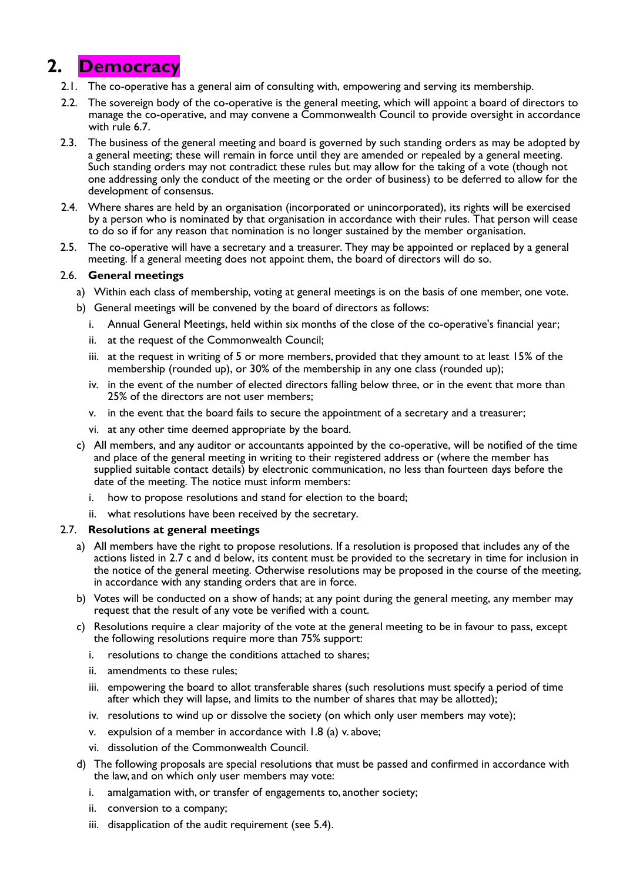## **2. Democracy**

- 2.1. The co-operative has a general aim of consulting with, empowering and serving its membership.
- 2.2. The sovereign body of the co-operative is the general meeting, which will appoint a board of directors to manage the co-operative, and may convene a Commonwealth Council to provide oversight in accordance with rule 6.7.
- 2.3. The business of the general meeting and board is governed by such standing orders as may be adopted by a general meeting; these will remain in force until they are amended or repealed by a general meeting. Such standing orders may not contradict these rules but may allow for the taking of a vote (though not one addressing only the conduct of the meeting or the order of business) to be deferred to allow for the development of consensus.
- 2.4. Where shares are held by an organisation (incorporated or unincorporated), its rights will be exercised by a person who is nominated by that organisation in accordance with their rules. That person will cease to do so if for any reason that nomination is no longer sustained by the member organisation.
- 2.5. The co-operative will have a secretary and a treasurer. They may be appointed or replaced by a general meeting. If a general meeting does not appoint them, the board of directors will do so.

## 2.6. **General meetings**

- a) Within each class of membership, voting at general meetings is on the basis of one member, one vote.
- b) General meetings will be convened by the board of directors as follows:
	- i. Annual General Meetings, held within six months of the close of the co-operative's financial year;
	- ii. at the request of the Commonwealth Council;
	- iii. at the request in writing of 5 or more members, provided that they amount to at least 15% of the membership (rounded up), or 30% of the membership in any one class (rounded up);
	- iv. in the event of the number of elected directors falling below three, or in the event that more than 25% of the directors are not user members;
	- v. in the event that the board fails to secure the appointment of a secretary and a treasurer;
	- vi. at any other time deemed appropriate by the board.
- c) All members, and any auditor or accountants appointed by the co-operative, will be notified of the time and place of the general meeting in writing to their registered address or (where the member has supplied suitable contact details) by electronic communication, no less than fourteen days before the date of the meeting. The notice must inform members:
	- i. how to propose resolutions and stand for election to the board;
	- ii. what resolutions have been received by the secretary.

## 2.7. **Resolutions at general meetings**

- a) All members have the right to propose resolutions. If a resolution is proposed that includes any of the actions listed in 2.7 c and d below, its content must be provided to the secretary in time for inclusion in the notice of the general meeting. Otherwise resolutions may be proposed in the course of the meeting, in accordance with any standing orders that are in force.
- b) Votes will be conducted on a show of hands; at any point during the general meeting, any member may request that the result of any vote be verified with a count.
- c) Resolutions require a clear majority of the vote at the general meeting to be in favour to pass, except the following resolutions require more than 75% support:
	- i. resolutions to change the conditions attached to shares;
	- ii. amendments to these rules;
	- iii. empowering the board to allot transferable shares (such resolutions must specify a period of time after which they will lapse, and limits to the number of shares that may be allotted);
	- iv. resolutions to wind up or dissolve the society (on which only user members may vote);
	- v. expulsion of a member in accordance with 1.8 (a) v. above;
	- vi. dissolution of the Commonwealth Council.
- d) The following proposals are special resolutions that must be passed and confirmed in accordance with the law, and on which only user members may vote:
	- i. amalgamation with, or transfer of engagements to, another society;
	- ii. conversion to a company;
	- iii. disapplication of the audit requirement (see 5.4).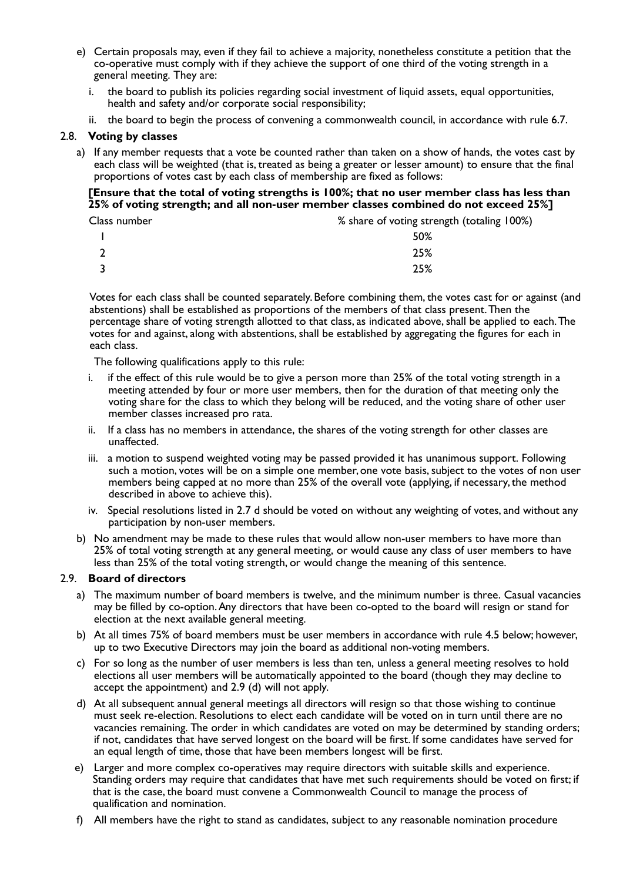- e) Certain proposals may, even if they fail to achieve a majority, nonetheless constitute a petition that the co-operative must comply with if they achieve the support of one third of the voting strength in a general meeting. They are:
	- i. the board to publish its policies regarding social investment of liquid assets, equal opportunities, health and safety and/or corporate social responsibility;
	- ii. the board to begin the process of convening a commonwealth council, in accordance with rule 6.7.

#### 2.8. **Voting by classes**

 a) If any member requests that a vote be counted rather than taken on a show of hands, the votes cast by each class will be weighted (that is, treated as being a greater or lesser amount) to ensure that the final proportions of votes cast by each class of membership are fixed as follows:

#### **[Ensure that the total of voting strengths is 100%; that no user member class has less than 25% of voting strength; and all non-user member classes combined do not exceed 25%]**

Class number % share of voting strength (totaling 100%)

|                         | 50% |
|-------------------------|-----|
| $\sqrt{2}$<br>▴         | 25% |
| $\overline{\mathbf{3}}$ | 25% |

Votes for each class shall be counted separately. Before combining them, the votes cast for or against (and abstentions) shall be established as proportions of the members of that class present. Then the percentage share of voting strength allotted to that class, as indicated above, shall be applied to each. The votes for and against, along with abstentions, shall be established by aggregating the figures for each in each class.

The following qualifications apply to this rule:

- i. if the effect of this rule would be to give a person more than 25% of the total voting strength in a meeting attended by four or more user members, then for the duration of that meeting only the voting share for the class to which they belong will be reduced, and the voting share of other user member classes increased pro rata.
- ii. If a class has no members in attendance, the shares of the voting strength for other classes are unaffected.
- iii. a motion to suspend weighted voting may be passed provided it has unanimous support. Following such a motion, votes will be on a simple one member, one vote basis, subject to the votes of non user members being capped at no more than 25% of the overall vote (applying, if necessary, the method described in above to achieve this).
- iv. Special resolutions listed in 2.7 d should be voted on without any weighting of votes, and without any participation by non-user members.
- b) No amendment may be made to these rules that would allow non-user members to have more than 25% of total voting strength at any general meeting, or would cause any class of user members to have less than 25% of the total voting strength, or would change the meaning of this sentence.

#### 2.9. **Board of directors**

- a) The maximum number of board members is twelve, and the minimum number is three. Casual vacancies may be filled by co-option. Any directors that have been co-opted to the board will resign or stand for election at the next available general meeting.
- b) At all times 75% of board members must be user members in accordance with rule 4.5 below; however, up to two Executive Directors may join the board as additional non-voting members.
- c) For so long as the number of user members is less than ten, unless a general meeting resolves to hold elections all user members will be automatically appointed to the board (though they may decline to accept the appointment) and 2.9 (d) will not apply.
- d) At all subsequent annual general meetings all directors will resign so that those wishing to continue must seek re-election. Resolutions to elect each candidate will be voted on in turn until there are no vacancies remaining. The order in which candidates are voted on may be determined by standing orders; if not, candidates that have served longest on the board will be first. If some candidates have served for an equal length of time, those that have been members longest will be first.
- e) Larger and more complex co-operatives may require directors with suitable skills and experience. Standing orders may require that candidates that have met such requirements should be voted on first; if that is the case, the board must convene a Commonwealth Council to manage the process of qualification and nomination.
- f) All members have the right to stand as candidates, subject to any reasonable nomination procedure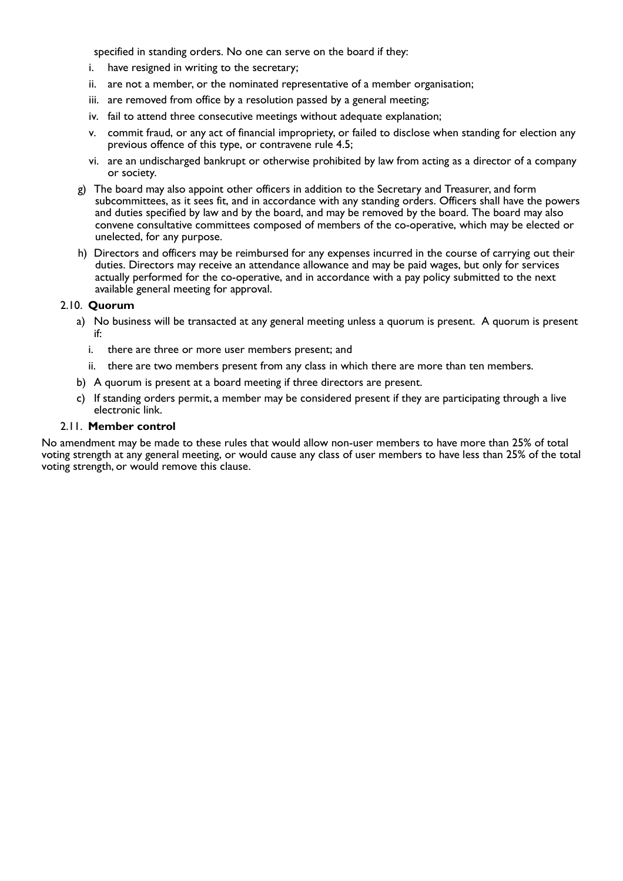specified in standing orders. No one can serve on the board if they:

- i. have resigned in writing to the secretary;
- ii. are not a member, or the nominated representative of a member organisation;
- iii. are removed from office by a resolution passed by a general meeting;
- iv. fail to attend three consecutive meetings without adequate explanation;
- v. commit fraud, or any act of financial impropriety, or failed to disclose when standing for election any previous offence of this type, or contravene rule 4.5;
- vi. are an undischarged bankrupt or otherwise prohibited by law from acting as a director of a company or society.
- g) The board may also appoint other officers in addition to the Secretary and Treasurer, and form subcommittees, as it sees fit, and in accordance with any standing orders. Officers shall have the powers and duties specified by law and by the board, and may be removed by the board. The board may also convene consultative committees composed of members of the co-operative, which may be elected or unelected, for any purpose.
- h) Directors and officers may be reimbursed for any expenses incurred in the course of carrying out their duties. Directors may receive an attendance allowance and may be paid wages, but only for services actually performed for the co-operative, and in accordance with a pay policy submitted to the next available general meeting for approval.

#### 2.10. **Quorum**

- a) No business will be transacted at any general meeting unless a quorum is present. A quorum is present if:
	- i. there are three or more user members present; and
	- ii. there are two members present from any class in which there are more than ten members.
- b) A quorum is present at a board meeting if three directors are present.
- c) If standing orders permit, a member may be considered present if they are participating through a live electronic link.

#### 2.11. **Member control**

No amendment may be made to these rules that would allow non-user members to have more than 25% of total voting strength at any general meeting, or would cause any class of user members to have less than 25% of the total voting strength, or would remove this clause.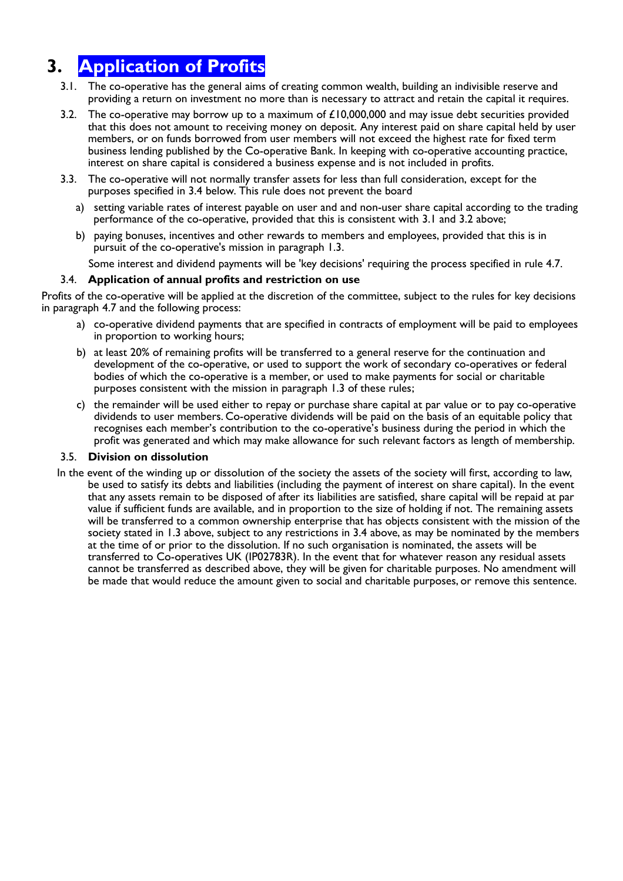# **3. Application of Profits**

- 3.1. The co-operative has the general aims of creating common wealth, building an indivisible reserve and providing a return on investment no more than is necessary to attract and retain the capital it requires.
- 3.2. The co-operative may borrow up to a maximum of  $£10,000,000$  and may issue debt securities provided that this does not amount to receiving money on deposit. Any interest paid on share capital held by user members, or on funds borrowed from user members will not exceed the highest rate for fixed term business lending published by the Co-operative Bank. In keeping with co-operative accounting practice, interest on share capital is considered a business expense and is not included in profits.
- 3.3. The co-operative will not normally transfer assets for less than full consideration, except for the purposes specified in 3.4 below. This rule does not prevent the board
	- a) setting variable rates of interest payable on user and and non-user share capital according to the trading performance of the co-operative, provided that this is consistent with 3.1 and 3.2 above;
	- b) paying bonuses, incentives and other rewards to members and employees, provided that this is in pursuit of the co-operative's mission in paragraph 1.3.

Some interest and dividend payments will be 'key decisions' requiring the process specified in rule 4.7.

#### 3.4. **Application of annual profits and restriction on use**

Profits of the co-operative will be applied at the discretion of the committee, subject to the rules for key decisions in paragraph 4.7 and the following process:

- a) co-operative dividend payments that are specified in contracts of employment will be paid to employees in proportion to working hours;
- b) at least 20% of remaining profits will be transferred to a general reserve for the continuation and development of the co-operative, or used to support the work of secondary co-operatives or federal bodies of which the co-operative is a member, or used to make payments for social or charitable purposes consistent with the mission in paragraph 1.3 of these rules;
- c) the remainder will be used either to repay or purchase share capital at par value or to pay co-operative dividends to user members. Co-operative dividends will be paid on the basis of an equitable policy that recognises each member's contribution to the co-operative's business during the period in which the profit was generated and which may make allowance for such relevant factors as length of membership.

#### 3.5. **Division on dissolution**

In the event of the winding up or dissolution of the society the assets of the society will first, according to law, be used to satisfy its debts and liabilities (including the payment of interest on share capital). In the event that any assets remain to be disposed of after its liabilities are satisfied, share capital will be repaid at par value if sufficient funds are available, and in proportion to the size of holding if not. The remaining assets will be transferred to a common ownership enterprise that has objects consistent with the mission of the society stated in 1.3 above, subject to any restrictions in 3.4 above, as may be nominated by the members at the time of or prior to the dissolution. If no such organisation is nominated, the assets will be transferred to Co-operatives UK (IP02783R). In the event that for whatever reason any residual assets cannot be transferred as described above, they will be given for charitable purposes. No amendment will be made that would reduce the amount given to social and charitable purposes, or remove this sentence.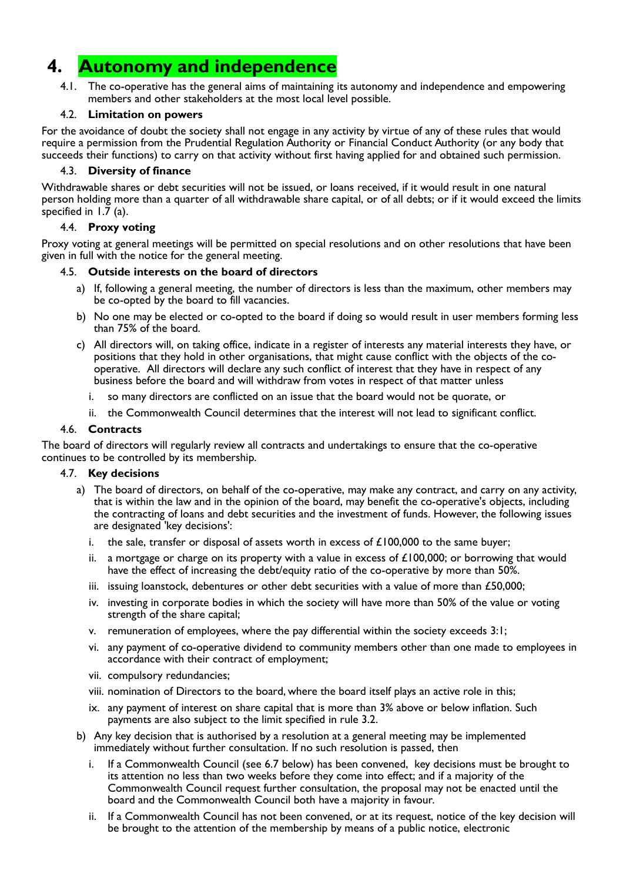## **4. Autonomy and independence**

 4.1. The co-operative has the general aims of maintaining its autonomy and independence and empowering members and other stakeholders at the most local level possible.

#### 4.2. **Limitation on powers**

For the avoidance of doubt the society shall not engage in any activity by virtue of any of these rules that would require a permission from the Prudential Regulation Authority or Financial Conduct Authority (or any body that succeeds their functions) to carry on that activity without first having applied for and obtained such permission.

## 4.3. **Diversity of finance**

Withdrawable shares or debt securities will not be issued, or loans received, if it would result in one natural person holding more than a quarter of all withdrawable share capital, or of all debts; or if it would exceed the limits specified in  $1.\overline{7}$  (a).

## 4.4. **Proxy voting**

Proxy voting at general meetings will be permitted on special resolutions and on other resolutions that have been given in full with the notice for the general meeting.

## 4.5. **Outside interests on the board of directors**

- a) If, following a general meeting, the number of directors is less than the maximum, other members may be co-opted by the board to fill vacancies.
- b) No one may be elected or co-opted to the board if doing so would result in user members forming less than 75% of the board.
- c) All directors will, on taking office, indicate in a register of interests any material interests they have, or positions that they hold in other organisations, that might cause conflict with the objects of the cooperative. All directors will declare any such conflict of interest that they have in respect of any business before the board and will withdraw from votes in respect of that matter unless
	- i. so many directors are conflicted on an issue that the board would not be quorate, or
	- ii. the Commonwealth Council determines that the interest will not lead to significant conflict.

#### 4.6. **Contracts**

The board of directors will regularly review all contracts and undertakings to ensure that the co-operative continues to be controlled by its membership.

#### 4.7. **Key decisions**

- a) The board of directors, on behalf of the co-operative, may make any contract, and carry on any activity, that is within the law and in the opinion of the board, may benefit the co-operative's objects, including the contracting of loans and debt securities and the investment of funds. However, the following issues are designated 'key decisions':
	- i. the sale, transfer or disposal of assets worth in excess of  $£100,000$  to the same buyer;
	- ii. a mortgage or charge on its property with a value in excess of  $\pounds$ 100,000; or borrowing that would have the effect of increasing the debt/equity ratio of the co-operative by more than 50%.
	- iii. issuing loanstock, debentures or other debt securities with a value of more than  $£50,000;$
	- iv. investing in corporate bodies in which the society will have more than 50% of the value or voting strength of the share capital;
	- v. remuneration of employees, where the pay differential within the society exceeds 3:1;
	- vi. any payment of co-operative dividend to community members other than one made to employees in accordance with their contract of employment;
	- vii. compulsory redundancies;
	- viii. nomination of Directors to the board, where the board itself plays an active role in this;
	- ix. any payment of interest on share capital that is more than 3% above or below inflation. Such payments are also subject to the limit specified in rule 3.2.
- b) Any key decision that is authorised by a resolution at a general meeting may be implemented immediately without further consultation. If no such resolution is passed, then
	- i. If a Commonwealth Council (see 6.7 below) has been convened, key decisions must be brought to its attention no less than two weeks before they come into effect; and if a majority of the Commonwealth Council request further consultation, the proposal may not be enacted until the board and the Commonwealth Council both have a majority in favour.
	- If a Commonwealth Council has not been convened, or at its request, notice of the key decision will be brought to the attention of the membership by means of a public notice, electronic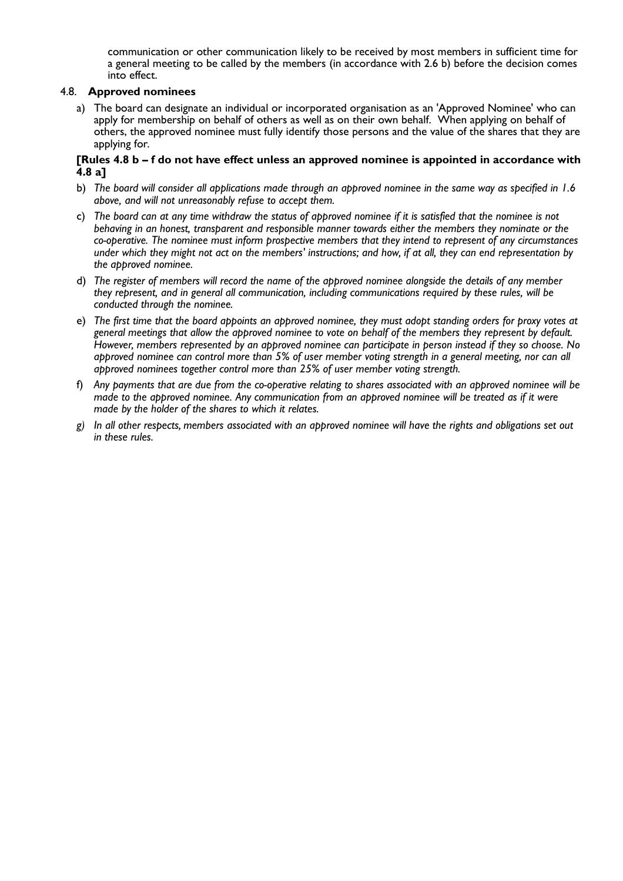communication or other communication likely to be received by most members in sufficient time for a general meeting to be called by the members (in accordance with 2.6 b) before the decision comes into effect.

#### 4.8. **Approved nominees**

 a) The board can designate an individual or incorporated organisation as an 'Approved Nominee' who can apply for membership on behalf of others as well as on their own behalf. When applying on behalf of others, the approved nominee must fully identify those persons and the value of the shares that they are applying for.

#### **[Rules 4.8 b – f do not have effect unless an approved nominee is appointed in accordance with 4.8 a]**

- b) The board will consider all applications made through an approved nominee in the same way as specified in 1.6 *above, and will not unreasonably refuse to accept them.*
- c) The board can at any time withdraw the status of approved nominee if it is satisfied that the nominee is not *behaving in an honest, transparent and responsible manner towards either the members they nominate or the co-operative. The nominee must inform prospective members that they intend to represent of any circumstances* under which they might not act on the members' instructions; and how, if at all, they can end representation by *the approved nominee.*
- d) The register of members will record the name of the approved nominee alongside the details of any member *they represent, and in general all communication, including communications required by these rules, will be conducted through the nominee.*
- e) The first time that the board appoints an approved nominee, they must adopt standing orders for proxy votes at general meetings that allow the approved nominee to vote on behalf of the members they represent by default. However, members represented by an approved nominee can participate in person instead if they so choose. No approved nominee can control more than 5% of user member voting strength in a general meeting, nor can all *approved nominees together control more than 25% of user member voting strength.*
- f) Any bayments that are due from the co-oberative relating to shares associated with an abbroved nominee will be made to the approved nominee. Any communication from an approved nominee will be treated as if it were *made by the holder of the shares to which it relates.*
- *g) In all other respects, members associated with an approved nominee will have the rights and obligations set out in these rules.*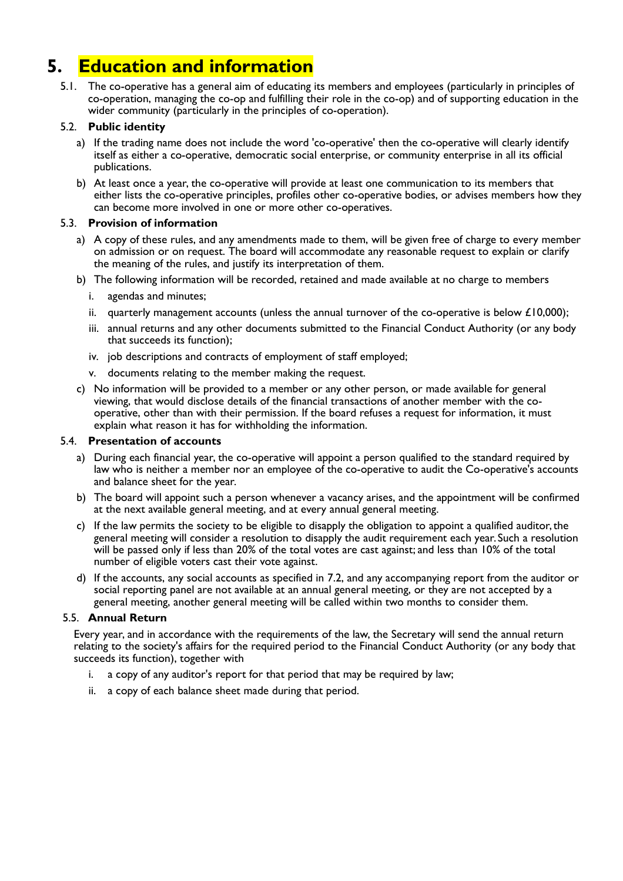# **5. Education and information**

 5.1. The co-operative has a general aim of educating its members and employees (particularly in principles of co-operation, managing the co-op and fulfilling their role in the co-op) and of supporting education in the wider community (particularly in the principles of co-operation).

## 5.2. **Public identity**

- a) If the trading name does not include the word 'co-operative' then the co-operative will clearly identify itself as either a co-operative, democratic social enterprise, or community enterprise in all its official publications.
- b) At least once a year, the co-operative will provide at least one communication to its members that either lists the co-operative principles, profiles other co-operative bodies, or advises members how they can become more involved in one or more other co-operatives.

## 5.3. **Provision of information**

- a) A copy of these rules, and any amendments made to them, will be given free of charge to every member on admission or on request. The board will accommodate any reasonable request to explain or clarify the meaning of the rules, and justify its interpretation of them.
- b) The following information will be recorded, retained and made available at no charge to members
	- i. agendas and minutes;
	- ii. quarterly management accounts (unless the annual turnover of the co-operative is below  $£10,000$ );
	- iii. annual returns and any other documents submitted to the Financial Conduct Authority (or any body that succeeds its function);
	- iv. job descriptions and contracts of employment of staff employed;
	- v. documents relating to the member making the request.
- c) No information will be provided to a member or any other person, or made available for general viewing, that would disclose details of the financial transactions of another member with the cooperative, other than with their permission. If the board refuses a request for information, it must explain what reason it has for withholding the information.

### 5.4. **Presentation of accounts**

- a) During each financial year, the co-operative will appoint a person qualified to the standard required by law who is neither a member nor an employee of the co-operative to audit the Co-operative's accounts and balance sheet for the year.
- b) The board will appoint such a person whenever a vacancy arises, and the appointment will be confirmed at the next available general meeting, and at every annual general meeting.
- c) If the law permits the society to be eligible to disapply the obligation to appoint a qualified auditor, the general meeting will consider a resolution to disapply the audit requirement each year. Such a resolution will be passed only if less than 20% of the total votes are cast against; and less than 10% of the total number of eligible voters cast their vote against.
- d) If the accounts, any social accounts as specified in 7.2, and any accompanying report from the auditor or social reporting panel are not available at an annual general meeting, or they are not accepted by a general meeting, another general meeting will be called within two months to consider them.

#### 5.5. **Annual Return**

Every year, and in accordance with the requirements of the law, the Secretary will send the annual return relating to the society's affairs for the required period to the Financial Conduct Authority (or any body that succeeds its function), together with

- i. a copy of any auditor's report for that period that may be required by law;
- ii. a copy of each balance sheet made during that period.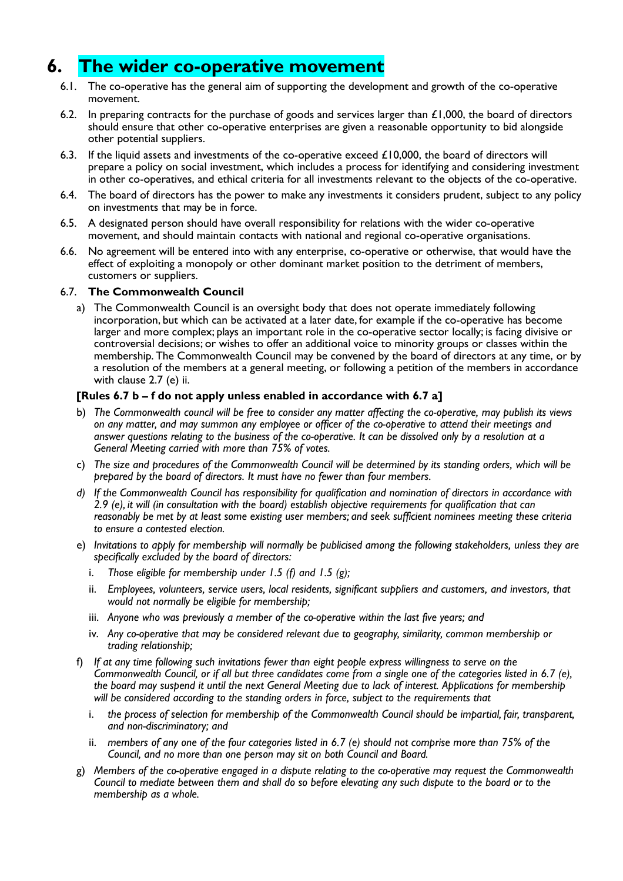## **6. The wider co-operative movement**

- 6.1. The co-operative has the general aim of supporting the development and growth of the co-operative movement.
- 6.2. In preparing contracts for the purchase of goods and services larger than  $\mathcal{L}1,000$ , the board of directors should ensure that other co-operative enterprises are given a reasonable opportunity to bid alongside other potential suppliers.
- 6.3. If the liquid assets and investments of the co-operative exceed  $\pounds$ 10,000, the board of directors will prepare a policy on social investment, which includes a process for identifying and considering investment in other co-operatives, and ethical criteria for all investments relevant to the objects of the co-operative.
- 6.4. The board of directors has the power to make any investments it considers prudent, subject to any policy on investments that may be in force.
- 6.5. A designated person should have overall responsibility for relations with the wider co-operative movement, and should maintain contacts with national and regional co-operative organisations.
- 6.6. No agreement will be entered into with any enterprise, co-operative or otherwise, that would have the effect of exploiting a monopoly or other dominant market position to the detriment of members, customers or suppliers.

#### 6.7. **The Commonwealth Council**

 a) The Commonwealth Council is an oversight body that does not operate immediately following incorporation, but which can be activated at a later date, for example if the co-operative has become larger and more complex; plays an important role in the co-operative sector locally; is facing divisive or controversial decisions; or wishes to offer an additional voice to minority groups or classes within the membership. The Commonwealth Council may be convened by the board of directors at any time, or by a resolution of the members at a general meeting, or following a petition of the members in accordance with clause 2.7 (e) ii.

## **[Rules 6.7 b – f do not apply unless enabled in accordance with 6.7 a]**

- b) *The Commonwealth council will be free to consider any matter affecting the co-operative, may publish its views* on any matter, and may summon any employee or officer of the co-operative to attend their meetings and answer questions relating to the business of the co-operative. It can be dissolved only by a resolution at a *General Meeting carried with more than 75% of votes.*
- c) The size and procedures of the Commonwealth Council will be determined by its standing orders, which will be *prepared by the board of directors. It must have no fewer than four members.*
- *d) If the Commonwealth Council has responsibility for qualification and nomination of directors in accordance with 2.9 (e), it will (in consultation with the board) establish objective requirements for qualification that can reasonably be met by at least some existing user members; and seek sufficient nominees meeting these criteria to ensure a contested election.*
- e) Invitations to abbly for membership will normally be publicised among the following stakeholders, unless they are *specifically excluded by the board of directors:*
	- i. *Those eligible for membership under 1.5 (f) and 1.5 (g);*
	- ii. *Employees, volunteers, service users, local residents, significant suppliers and customers, and investors, that would not normally be eligible for membership;*
	- iii. *Anyone who was previously a member of the co-operative within the last five years; and*
	- iv. *Any co-operative that may be considered relevant due to geography, similarity, common membership or trading relationship;*
- f) *If at any time following such invitations fewer than eight people express willingness to serve on the Commonwealth Council, or if all but three candidates come from a single one of the categories listed in 6.7 (e),*  the board may suspend it until the next General Meeting due to lack of interest. Applications for membership *will be considered according to the standing orders in force, subject to the requirements that*
	- i. *the process of selection for membership of the Commonwealth Council should be impartial, fair, transparent, and non-discriminatory; and*
	- ii. *members of any one of the four categories listed in 6.7 (e) should not comprise more than 75% of the Council, and no more than one person may sit on both Council and Board.*
- g) *Members of the co-operative engaged in a dispute relating to the co-operative may request the Commonwealth* Council to mediate between them and shall do so before elevating any such dispute to the board or to the *membership as a whole.*